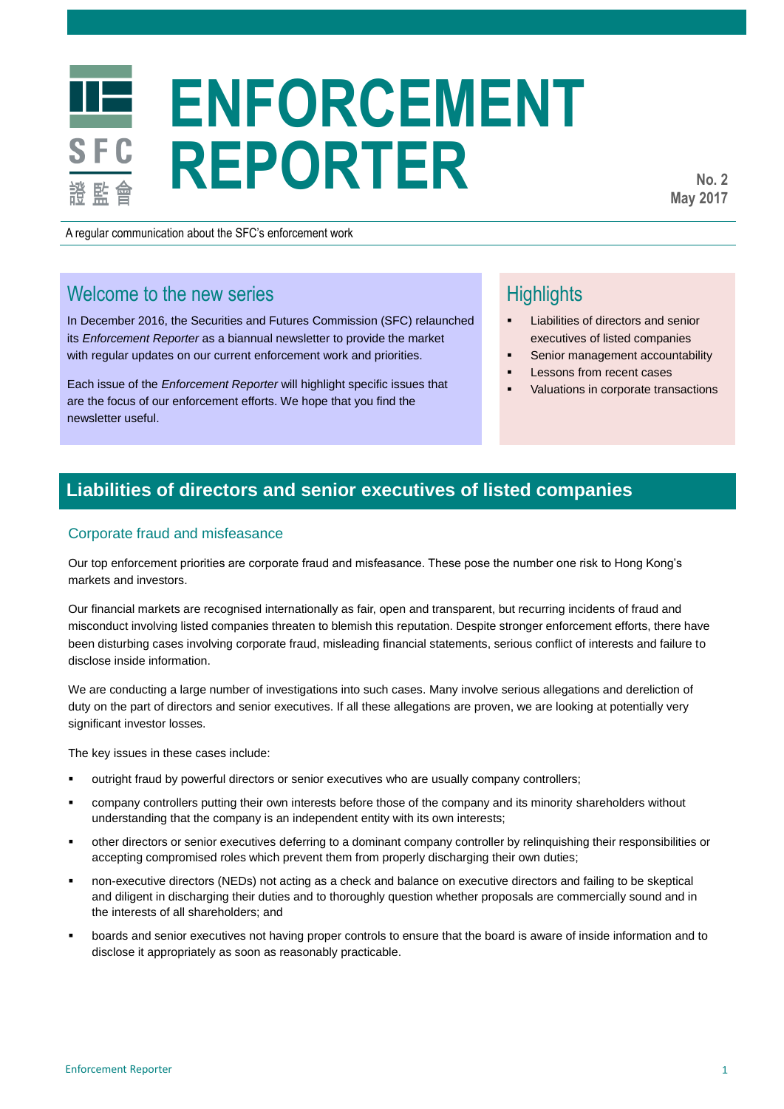# **ENFORCEMENT REPORTER**

**No. 2 May 2017**

A regular communication about the SFC's enforcement work

# Welcome to the new series

In December 2016, the Securities and Futures Commission (SFC) relaunched its *Enforcement Reporter* as a biannual newsletter to provide the market with regular updates on our current enforcement work and priorities.

Each issue of the *Enforcement Reporter* will highlight specific issues that are the focus of our enforcement efforts. We hope that you find the newsletter useful.

# **Highlights**

- Liabilities of directors and senior executives of listed companies
- Senior management accountability
- Lessons from recent cases
- Valuations in corporate transactions

# **Liabilities of directors and senior executives of listed companies**

## Corporate fraud and misfeasance

Our top enforcement priorities are corporate fraud and misfeasance. These pose the number one risk to Hong Kong's markets and investors.

Our financial markets are recognised internationally as fair, open and transparent, but recurring incidents of fraud and misconduct involving listed companies threaten to blemish this reputation. Despite stronger enforcement efforts, there have been disturbing cases involving corporate fraud, misleading financial statements, serious conflict of interests and failure to disclose inside information.

We are conducting a large number of investigations into such cases. Many involve serious allegations and dereliction of duty on the part of directors and senior executives. If all these allegations are proven, we are looking at potentially very significant investor losses.

The key issues in these cases include:

- outright fraud by powerful directors or senior executives who are usually company controllers;
- company controllers putting their own interests before those of the company and its minority shareholders without understanding that the company is an independent entity with its own interests;
- other directors or senior executives deferring to a dominant company controller by relinquishing their responsibilities or accepting compromised roles which prevent them from properly discharging their own duties;
- non-executive directors (NEDs) not acting as a check and balance on executive directors and failing to be skeptical and diligent in discharging their duties and to thoroughly question whether proposals are commercially sound and in the interests of all shareholders; and
- boards and senior executives not having proper controls to ensure that the board is aware of inside information and to disclose it appropriately as soon as reasonably practicable.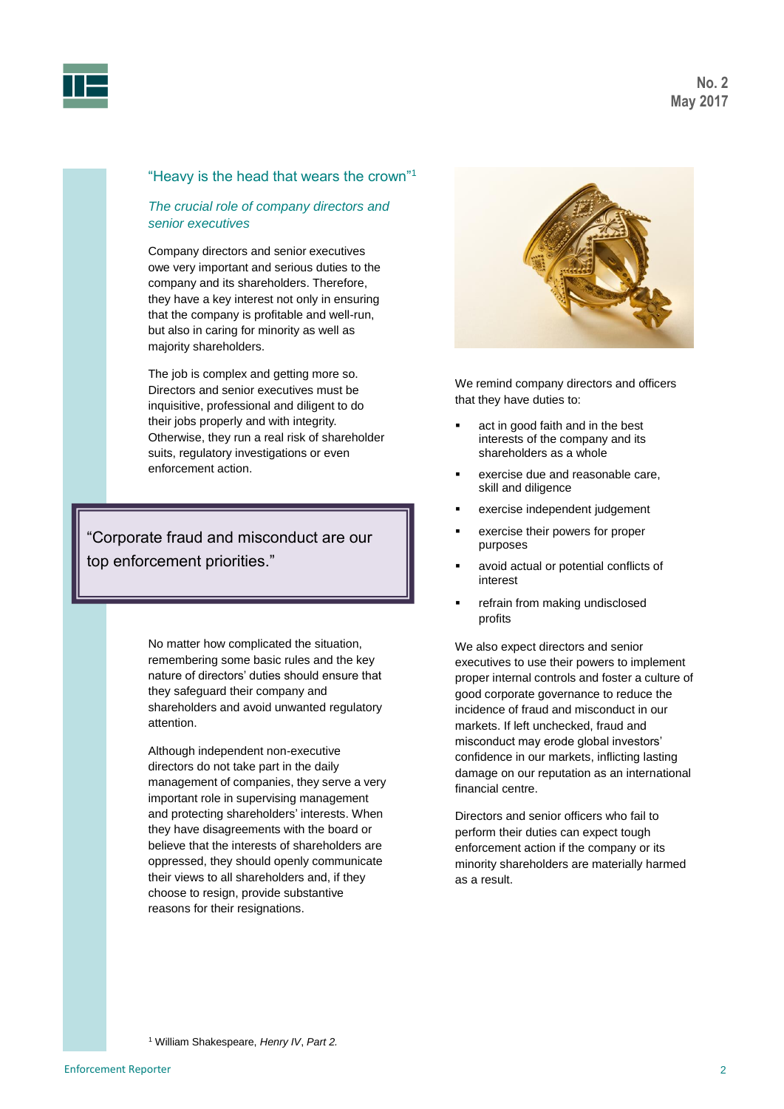



## "Heavy is the head that wears the crown"<sup>1</sup>

## *The crucial role of company directors and senior executives*

Company directors and senior executives owe very important and serious duties to the company and its shareholders. Therefore, they have a key interest not only in ensuring that the company is profitable and well-run, but also in caring for minority as well as majority shareholders.

The job is complex and getting more so. Directors and senior executives must be inquisitive, professional and diligent to do their jobs properly and with integrity. Otherwise, they run a real risk of shareholder suits, regulatory investigations or even enforcement action.

"Corporate fraud and misconduct are our top enforcement priorities."

> No matter how complicated the situation, remembering some basic rules and the key nature of directors' duties should ensure that they safeguard their company and shareholders and avoid unwanted regulatory attention.

> Although independent non-executive directors do not take part in the daily management of companies, they serve a very important role in supervising management and protecting shareholders' interests. When they have disagreements with the board or believe that the interests of shareholders are oppressed, they should openly communicate their views to all shareholders and, if they choose to resign, provide substantive reasons for their resignations.



We remind company directors and officers that they have duties to:

- act in good faith and in the best interests of the company and its shareholders as a whole
- exercise due and reasonable care, skill and diligence
- exercise independent judgement
- exercise their powers for proper purposes
- avoid actual or potential conflicts of interest
- refrain from making undisclosed profits

We also expect directors and senior executives to use their powers to implement proper internal controls and foster a culture of good corporate governance to reduce the incidence of fraud and misconduct in our markets. If left unchecked, fraud and misconduct may erode global investors' confidence in our markets, inflicting lasting damage on our reputation as an international financial centre.

Directors and senior officers who fail to perform their duties can expect tough enforcement action if the company or its minority shareholders are materially harmed as a result.

<sup>1</sup> William Shakespeare, *Henry IV*, *Part 2.*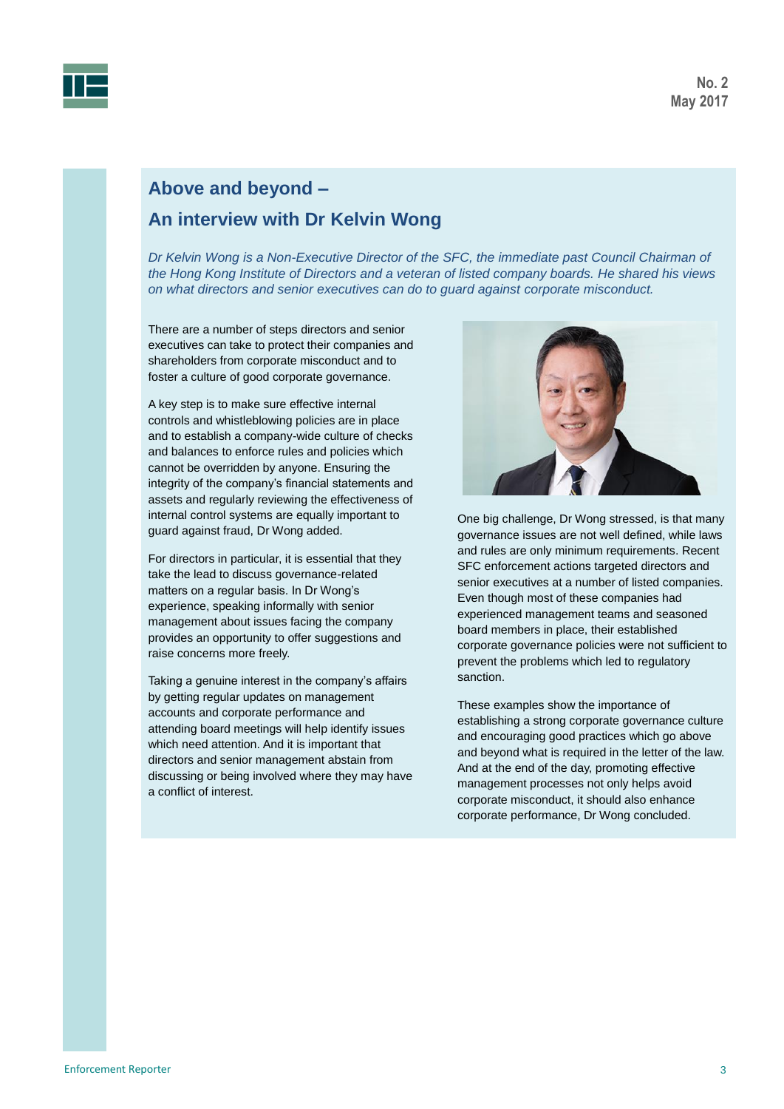



# **Above and beyond – An interview with Dr Kelvin Wong**

*Dr Kelvin Wong is a Non-Executive Director of the SFC, the immediate past Council Chairman of the Hong Kong Institute of Directors and a veteran of listed company boards. He shared his views on what directors and senior executives can do to guard against corporate misconduct.*

There are a number of steps directors and senior executives can take to protect their companies and shareholders from corporate misconduct and to foster a culture of good corporate governance.

A key step is to make sure effective internal controls and whistleblowing policies are in place and to establish a company-wide culture of checks and balances to enforce rules and policies which cannot be overridden by anyone. Ensuring the integrity of the company's financial statements and assets and regularly reviewing the effectiveness of internal control systems are equally important to guard against fraud, Dr Wong added.

For directors in particular, it is essential that they take the lead to discuss governance-related matters on a regular basis. In Dr Wong's experience, speaking informally with senior management about issues facing the company provides an opportunity to offer suggestions and raise concerns more freely.

Taking a genuine interest in the company's affairs by getting regular updates on management accounts and corporate performance and attending board meetings will help identify issues which need attention. And it is important that directors and senior management abstain from discussing or being involved where they may have a conflict of interest.



One big challenge, Dr Wong stressed, is that many governance issues are not well defined, while laws and rules are only minimum requirements. Recent SFC enforcement actions targeted directors and senior executives at a number of listed companies. Even though most of these companies had experienced management teams and seasoned board members in place, their established corporate governance policies were not sufficient to prevent the problems which led to regulatory sanction.

These examples show the importance of establishing a strong corporate governance culture and encouraging good practices which go above and beyond what is required in the letter of the law. And at the end of the day, promoting effective management processes not only helps avoid corporate misconduct, it should also enhance corporate performance, Dr Wong concluded.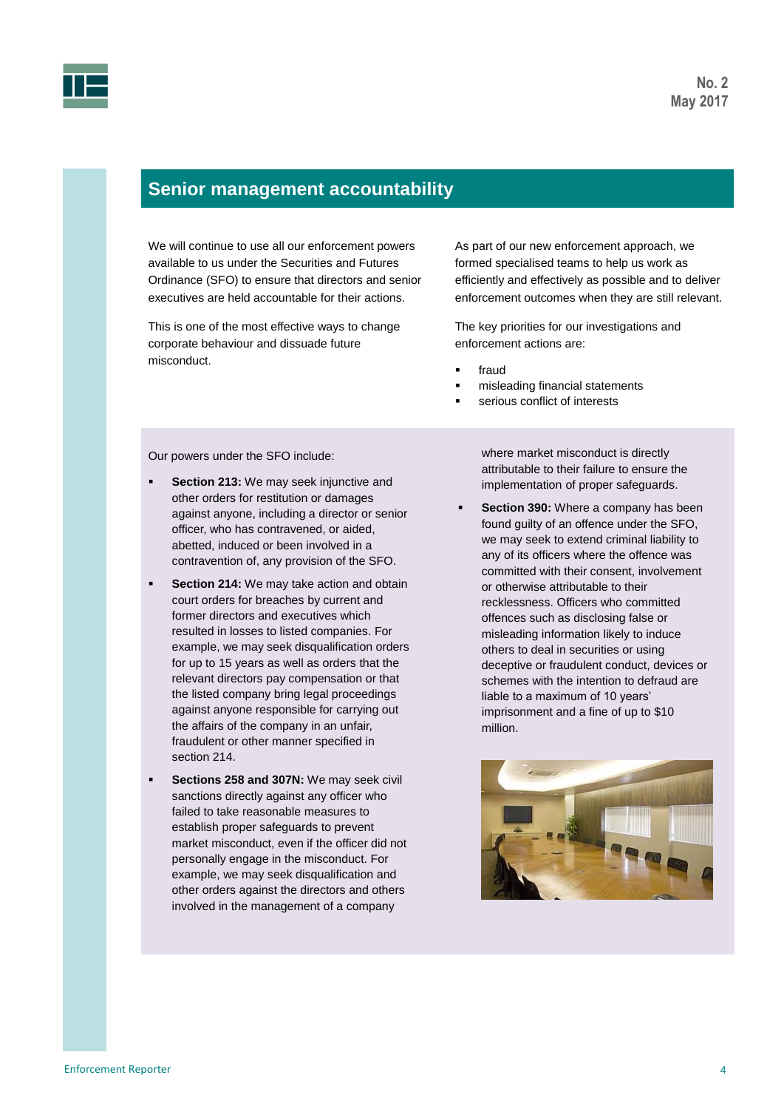

# **Senior management accountability**

We will continue to use all our enforcement powers available to us under the Securities and Futures Ordinance (SFO) to ensure that directors and senior executives are held accountable for their actions.

This is one of the most effective ways to change corporate behaviour and dissuade future misconduct.

As part of our new enforcement approach, we formed specialised teams to help us work as efficiently and effectively as possible and to deliver enforcement outcomes when they are still relevant.

The key priorities for our investigations and enforcement actions are:

- fraud
- misleading financial statements
- serious conflict of interests

Our powers under the SFO include:

- **Section 213:** We may seek injunctive and other orders for restitution or damages against anyone, including a director or senior officer, who has contravened, or aided, abetted, induced or been involved in a contravention of, any provision of the SFO.
- **Section 214:** We may take action and obtain court orders for breaches by current and former directors and executives which resulted in losses to listed companies. For example, we may seek disqualification orders for up to 15 years as well as orders that the relevant directors pay compensation or that the listed company bring legal proceedings against anyone responsible for carrying out the affairs of the company in an unfair, fraudulent or other manner specified in section 214.
- **Sections 258 and 307N:** We may seek civil sanctions directly against any officer who failed to take reasonable measures to establish proper safeguards to prevent market misconduct, even if the officer did not personally engage in the misconduct. For example, we may seek disqualification and other orders against the directors and others involved in the management of a company

where market misconduct is directly attributable to their failure to ensure the implementation of proper safeguards.

 **Section 390:** Where a company has been found guilty of an offence under the SFO, we may seek to extend criminal liability to any of its officers where the offence was committed with their consent, involvement or otherwise attributable to their recklessness. Officers who committed offences such as disclosing false or misleading information likely to induce others to deal in securities or using deceptive or fraudulent conduct, devices or schemes with the intention to defraud are liable to a maximum of 10 years' imprisonment and a fine of up to \$10 million.

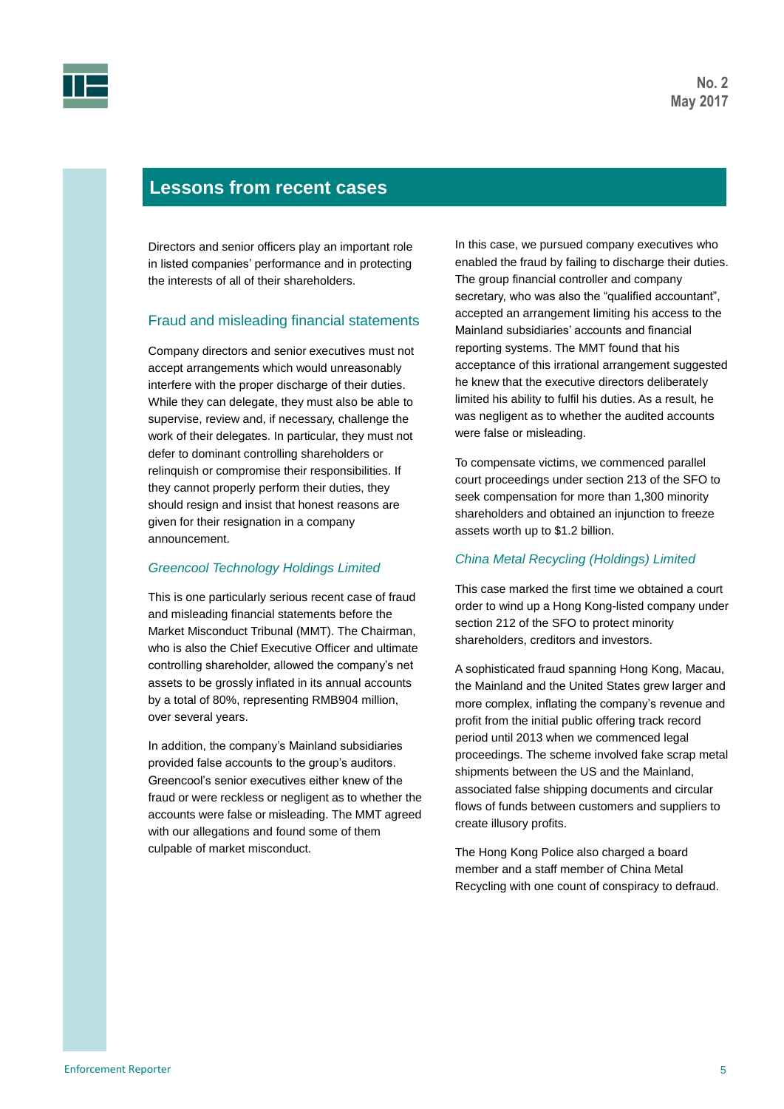

# **Lessons from recent cases**

Directors and senior officers play an important role in listed companies' performance and in protecting the interests of all of their shareholders.

## Fraud and misleading financial statements

Company directors and senior executives must not accept arrangements which would unreasonably interfere with the proper discharge of their duties. While they can delegate, they must also be able to supervise, review and, if necessary, challenge the work of their delegates. In particular, they must not defer to dominant controlling shareholders or relinquish or compromise their responsibilities. If they cannot properly perform their duties, they should resign and insist that honest reasons are given for their resignation in a company announcement.

#### *Greencool Technology Holdings Limited*

This is one particularly serious recent case of fraud and misleading financial statements before the Market Misconduct Tribunal (MMT). The Chairman, who is also the Chief Executive Officer and ultimate controlling shareholder, allowed the company's net assets to be grossly inflated in its annual accounts by a total of 80%, representing RMB904 million, over several years.

In addition, the company's Mainland subsidiaries provided false accounts to the group's auditors. Greencool's senior executives either knew of the fraud or were reckless or negligent as to whether the accounts were false or misleading. The MMT agreed with our allegations and found some of them culpable of market misconduct.

In this case, we pursued company executives who enabled the fraud by failing to discharge their duties. The group financial controller and company secretary, who was also the "qualified accountant", accepted an arrangement limiting his access to the Mainland subsidiaries' accounts and financial reporting systems. The MMT found that his acceptance of this irrational arrangement suggested he knew that the executive directors deliberately limited his ability to fulfil his duties. As a result, he was negligent as to whether the audited accounts were false or misleading.

To compensate victims, we commenced parallel court proceedings under section 213 of the SFO to seek compensation for more than 1,300 minority shareholders and obtained an injunction to freeze assets worth up to \$1.2 billion.

#### *China Metal Recycling (Holdings) Limited*

This case marked the first time we obtained a court order to wind up a Hong Kong-listed company under section 212 of the SFO to protect minority shareholders, creditors and investors.

A sophisticated fraud spanning Hong Kong, Macau, the Mainland and the United States grew larger and more complex, inflating the company's revenue and profit from the initial public offering track record period until 2013 when we commenced legal proceedings. The scheme involved fake scrap metal shipments between the US and the Mainland, associated false shipping documents and circular flows of funds between customers and suppliers to create illusory profits.

The Hong Kong Police also charged a board member and a staff member of China Metal Recycling with one count of conspiracy to defraud.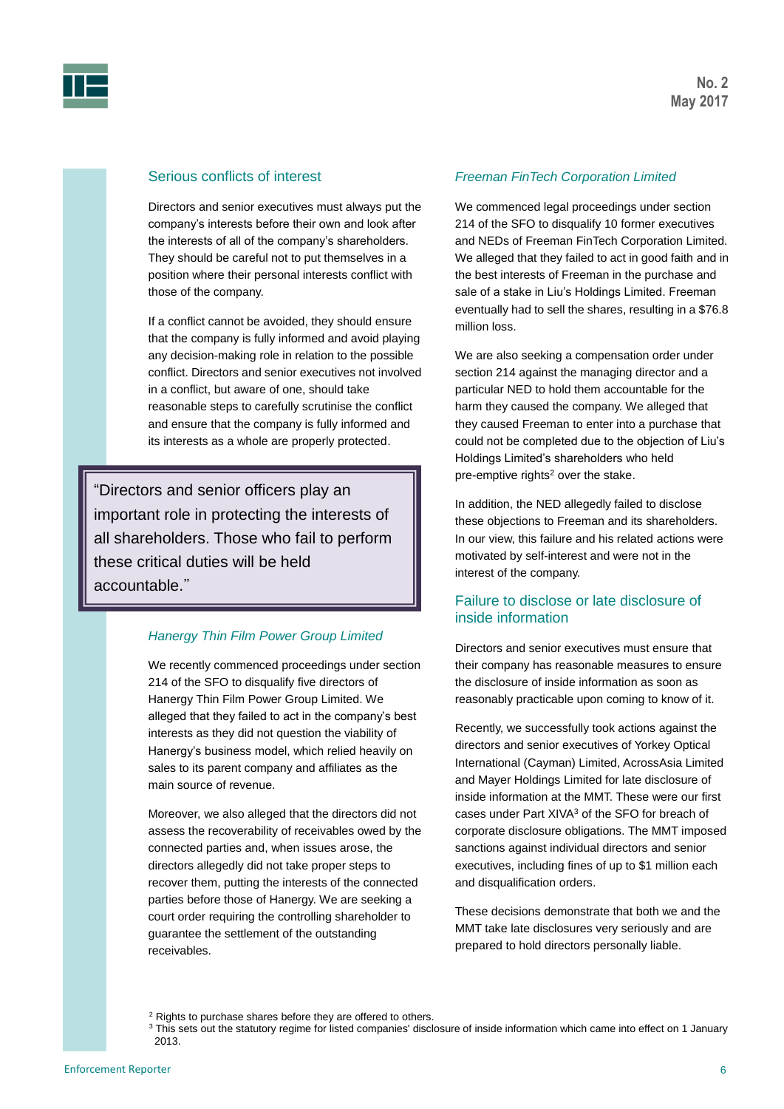

## Serious conflicts of interest

Directors and senior executives must always put the company's interests before their own and look after the interests of all of the company's shareholders. They should be careful not to put themselves in a position where their personal interests conflict with those of the company.

If a conflict cannot be avoided, they should ensure that the company is fully informed and avoid playing any decision-making role in relation to the possible conflict. Directors and senior executives not involved in a conflict, but aware of one, should take reasonable steps to carefully scrutinise the conflict and ensure that the company is fully informed and its interests as a whole are properly protected.

"Directors and senior officers play an important role in protecting the interests of all shareholders. Those who fail to perform these critical duties will be held accountable."

#### *Hanergy Thin Film Power Group Limited*

We recently commenced proceedings under section 214 of the SFO to disqualify five directors of Hanergy Thin Film Power Group Limited. We alleged that they failed to act in the company's best interests as they did not question the viability of Hanergy's business model, which relied heavily on sales to its parent company and affiliates as the main source of revenue.

Moreover, we also alleged that the directors did not assess the recoverability of receivables owed by the connected parties and, when issues arose, the directors allegedly did not take proper steps to recover them, putting the interests of the connected parties before those of Hanergy. We are seeking a court order requiring the controlling shareholder to guarantee the settlement of the outstanding receivables.

#### *Freeman FinTech Corporation Limited*

We commenced legal proceedings under section 214 of the SFO to disqualify 10 former executives and NEDs of Freeman FinTech Corporation Limited. We alleged that they failed to act in good faith and in the best interests of Freeman in the purchase and sale of a stake in Liu's Holdings Limited. Freeman eventually had to sell the shares, resulting in a \$76.8 million loss.

We are also seeking a compensation order under section 214 against the managing director and a particular NED to hold them accountable for the harm they caused the company. We alleged that they caused Freeman to enter into a purchase that could not be completed due to the objection of Liu's Holdings Limited's shareholders who held pre-emptive rights<sup>2</sup> over the stake.

In addition, the NED allegedly failed to disclose these objections to Freeman and its shareholders. In our view, this failure and his related actions were motivated by self-interest and were not in the interest of the company.

## Failure to disclose or late disclosure of inside information

Directors and senior executives must ensure that their company has reasonable measures to ensure the disclosure of inside information as soon as reasonably practicable upon coming to know of it.

Recently, we successfully took actions against the directors and senior executives of Yorkey Optical International (Cayman) Limited, AcrossAsia Limited and Mayer Holdings Limited for late disclosure of inside information at the MMT. These were our first cases under Part XIVA<sup>3</sup> of the SFO for breach of corporate disclosure obligations. The MMT imposed sanctions against individual directors and senior executives, including fines of up to \$1 million each and disqualification orders.

These decisions demonstrate that both we and the MMT take late disclosures very seriously and are prepared to hold directors personally liable.

<sup>&</sup>lt;sup>2</sup> Rights to purchase shares before they are offered to others.

<sup>&</sup>lt;sup>3</sup> This sets out the statutory regime for listed companies' disclosure of inside information which came into effect on 1 January 2013.